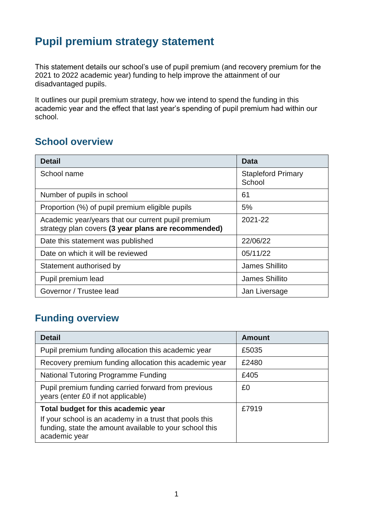# **Pupil premium strategy statement**

This statement details our school's use of pupil premium (and recovery premium for the 2021 to 2022 academic year) funding to help improve the attainment of our disadvantaged pupils.

It outlines our pupil premium strategy, how we intend to spend the funding in this academic year and the effect that last year's spending of pupil premium had within our school.

### **School overview**

| <b>Detail</b>                                                                                             | Data                                |
|-----------------------------------------------------------------------------------------------------------|-------------------------------------|
| School name                                                                                               | <b>Stapleford Primary</b><br>School |
| Number of pupils in school                                                                                | 61                                  |
| Proportion (%) of pupil premium eligible pupils                                                           | 5%                                  |
| Academic year/years that our current pupil premium<br>strategy plan covers (3 year plans are recommended) | 2021-22                             |
| Date this statement was published                                                                         | 22/06/22                            |
| Date on which it will be reviewed                                                                         | 05/11/22                            |
| Statement authorised by                                                                                   | James Shillito                      |
| Pupil premium lead                                                                                        | James Shillito                      |
| Governor / Trustee lead                                                                                   | Jan Liversage                       |

## **Funding overview**

| <b>Detail</b>                                                                                                                                                              | <b>Amount</b> |
|----------------------------------------------------------------------------------------------------------------------------------------------------------------------------|---------------|
| Pupil premium funding allocation this academic year                                                                                                                        | £5035         |
| Recovery premium funding allocation this academic year                                                                                                                     | £2480         |
| National Tutoring Programme Funding                                                                                                                                        | £405          |
| Pupil premium funding carried forward from previous<br>years (enter £0 if not applicable)                                                                                  | £0            |
| Total budget for this academic year<br>If your school is an academy in a trust that pools this<br>funding, state the amount available to your school this<br>academic year | £7919         |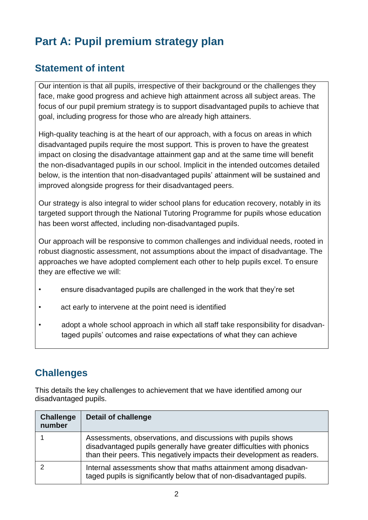# **Part A: Pupil premium strategy plan**

## **Statement of intent**

Our intention is that all pupils, irrespective of their background or the challenges they face, make good progress and achieve high attainment across all subject areas. The focus of our pupil premium strategy is to support disadvantaged pupils to achieve that goal, including progress for those who are already high attainers.

High-quality teaching is at the heart of our approach, with a focus on areas in which disadvantaged pupils require the most support. This is proven to have the greatest impact on closing the disadvantage attainment gap and at the same time will benefit the non-disadvantaged pupils in our school. Implicit in the intended outcomes detailed below, is the intention that non-disadvantaged pupils' attainment will be sustained and improved alongside progress for their disadvantaged peers.

Our strategy is also integral to wider school plans for education recovery, notably in its targeted support through the National Tutoring Programme for pupils whose education has been worst affected, including non-disadvantaged pupils.

Our approach will be responsive to common challenges and individual needs, rooted in robust diagnostic assessment, not assumptions about the impact of disadvantage. The approaches we have adopted complement each other to help pupils excel. To ensure they are effective we will:

- ensure disadvantaged pupils are challenged in the work that they're set
- act early to intervene at the point need is identified
- adopt a whole school approach in which all staff take responsibility for disadvantaged pupils' outcomes and raise expectations of what they can achieve

## **Challenges**

This details the key challenges to achievement that we have identified among our disadvantaged pupils.

| <b>Challenge</b><br>number | <b>Detail of challenge</b>                                                                                                                                                                                       |
|----------------------------|------------------------------------------------------------------------------------------------------------------------------------------------------------------------------------------------------------------|
|                            | Assessments, observations, and discussions with pupils shows<br>disadvantaged pupils generally have greater difficulties with phonics<br>than their peers. This negatively impacts their development as readers. |
|                            | Internal assessments show that maths attainment among disadvan-<br>taged pupils is significantly below that of non-disadvantaged pupils.                                                                         |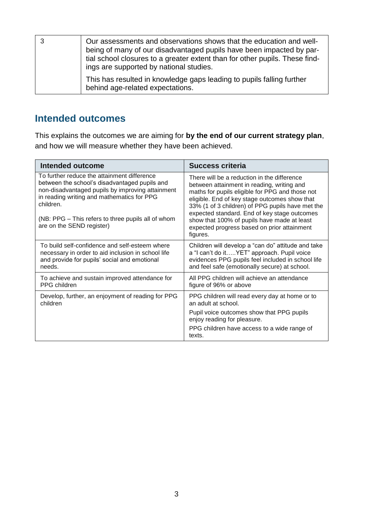| Our assessments and observations shows that the education and well-<br>being of many of our disadvantaged pupils have been impacted by par-<br>tial school closures to a greater extent than for other pupils. These find-<br>ings are supported by national studies. |
|-----------------------------------------------------------------------------------------------------------------------------------------------------------------------------------------------------------------------------------------------------------------------|
| This has resulted in knowledge gaps leading to pupils falling further<br>behind age-related expectations.                                                                                                                                                             |

#### **Intended outcomes**

This explains the outcomes we are aiming for **by the end of our current strategy plan**, and how we will measure whether they have been achieved.

| <b>Intended outcome</b>                                                                                                                                                                                                                                                                        | Success criteria                                                                                                                                                                                                                                                                                                                                                                                            |
|------------------------------------------------------------------------------------------------------------------------------------------------------------------------------------------------------------------------------------------------------------------------------------------------|-------------------------------------------------------------------------------------------------------------------------------------------------------------------------------------------------------------------------------------------------------------------------------------------------------------------------------------------------------------------------------------------------------------|
| To further reduce the attainment difference<br>between the school's disadvantaged pupils and<br>non-disadvantaged pupils by improving attainment<br>in reading writing and mathematics for PPG<br>children.<br>(NB: PPG - This refers to three pupils all of whom<br>are on the SEND register) | There will be a reduction in the difference<br>between attainment in reading, writing and<br>maths for pupils eligible for PPG and those not<br>eligible. End of key stage outcomes show that<br>33% (1 of 3 children) of PPG pupils have met the<br>expected standard. End of key stage outcomes<br>show that 100% of pupils have made at least<br>expected progress based on prior attainment<br>figures. |
| To build self-confidence and self-esteem where<br>necessary in order to aid inclusion in school life<br>and provide for pupils' social and emotional<br>needs.                                                                                                                                 | Children will develop a "can do" attitude and take<br>a "I can't do itYET" approach. Pupil voice<br>evidences PPG pupils feel included in school life<br>and feel safe (emotionally secure) at school.                                                                                                                                                                                                      |
| To achieve and sustain improved attendance for<br>PPG children                                                                                                                                                                                                                                 | All PPG children will achieve an attendance<br>figure of 96% or above                                                                                                                                                                                                                                                                                                                                       |
| Develop, further, an enjoyment of reading for PPG<br>children                                                                                                                                                                                                                                  | PPG children will read every day at home or to<br>an adult at school.                                                                                                                                                                                                                                                                                                                                       |
|                                                                                                                                                                                                                                                                                                | Pupil voice outcomes show that PPG pupils<br>enjoy reading for pleasure.                                                                                                                                                                                                                                                                                                                                    |
|                                                                                                                                                                                                                                                                                                | PPG children have access to a wide range of<br>texts.                                                                                                                                                                                                                                                                                                                                                       |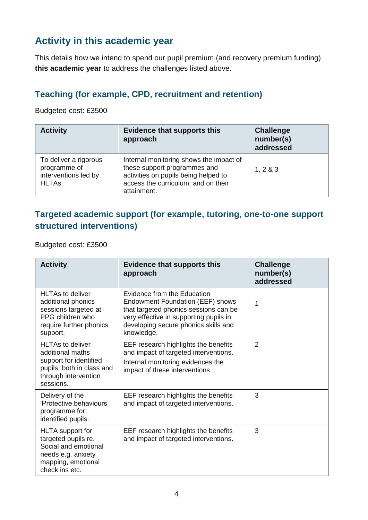## **Activity in this academic year**

This details how we intend to spend our pupil premium (and recovery premium funding) **this academic year** to address the challenges listed above.

#### **Teaching (for example, CPD, recruitment and retention)**

Budgeted cost: £3500

| <b>Activity</b>                                                         | <b>Evidence that supports this</b><br>approach                                                                                                                        | <b>Challenge</b><br>number(s)<br>addressed |
|-------------------------------------------------------------------------|-----------------------------------------------------------------------------------------------------------------------------------------------------------------------|--------------------------------------------|
| To deliver a rigorous<br>programme of<br>interventions led by<br>HLTAs. | Internal monitoring shows the impact of<br>these support programmes and<br>activities on pupils being helped to<br>access the curriculum, and on their<br>attainment. | 1, 283                                     |

#### **Targeted academic support (for example, tutoring, one-to-one support structured interventions)**

Budgeted cost: £3500

| <b>Activity</b>                                                                                                                         | <b>Evidence that supports this</b><br>approach                                                                                                                                                           | <b>Challenge</b><br>number(s)<br>addressed |
|-----------------------------------------------------------------------------------------------------------------------------------------|----------------------------------------------------------------------------------------------------------------------------------------------------------------------------------------------------------|--------------------------------------------|
| <b>HLTAs to deliver</b><br>additional phonics<br>sessions targeted at<br>PPG children who<br>require further phonics<br>support.        | Evidence from the Education<br>Endowment Foundation (EEF) shows<br>that targeted phonics sessions can be<br>very effective in supporting pupils in<br>developing secure phonics skills and<br>knowledge. | 1                                          |
| <b>HLTAs to deliver</b><br>additional maths<br>support for identified<br>pupils, both in class and<br>through intervention<br>sessions. | EEF research highlights the benefits<br>and impact of targeted interventions.<br>Internal monitoring evidences the<br>impact of these interventions.                                                     | $\overline{2}$                             |
| Delivery of the<br>'Protective behaviours'<br>programme for<br>identified pupils.                                                       | EEF research highlights the benefits<br>and impact of targeted interventions.                                                                                                                            | 3                                          |
| HLTA support for<br>targeted pupils re.<br>Social and emotional<br>needs e.g. anxiety<br>mapping, emotional<br>check ins etc.           | EEF research highlights the benefits<br>and impact of targeted interventions.                                                                                                                            | 3                                          |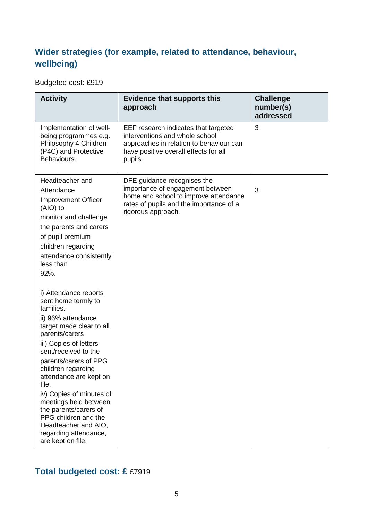### **Wider strategies (for example, related to attendance, behaviour, wellbeing)**

Budgeted cost: £919

| <b>Activity</b>                                                                                                                                                                                                                                                                                                                                                                                                                               | <b>Evidence that supports this</b><br>approach                                                                                                                            | <b>Challenge</b><br>number(s)<br>addressed |
|-----------------------------------------------------------------------------------------------------------------------------------------------------------------------------------------------------------------------------------------------------------------------------------------------------------------------------------------------------------------------------------------------------------------------------------------------|---------------------------------------------------------------------------------------------------------------------------------------------------------------------------|--------------------------------------------|
| Implementation of well-<br>being programmes e.g.<br>Philosophy 4 Children<br>(P4C) and Protective<br>Behaviours.                                                                                                                                                                                                                                                                                                                              | EEF research indicates that targeted<br>interventions and whole school<br>approaches in relation to behaviour can<br>have positive overall effects for all<br>pupils.     | 3                                          |
| Headteacher and<br>Attendance<br><b>Improvement Officer</b><br>(AIO) to<br>monitor and challenge<br>the parents and carers<br>of pupil premium<br>children regarding<br>attendance consistently<br>less than<br>92%.                                                                                                                                                                                                                          | DFE guidance recognises the<br>importance of engagement between<br>home and school to improve attendance<br>rates of pupils and the importance of a<br>rigorous approach. | 3                                          |
| i) Attendance reports<br>sent home termly to<br>families.<br>ii) 96% attendance<br>target made clear to all<br>parents/carers<br>iii) Copies of letters<br>sent/received to the<br>parents/carers of PPG<br>children regarding<br>attendance are kept on<br>file.<br>iv) Copies of minutes of<br>meetings held between<br>the parents/carers of<br>PPG children and the<br>Headteacher and AIO,<br>regarding attendance,<br>are kept on file. |                                                                                                                                                                           |                                            |

#### **Total budgeted cost: £** £7919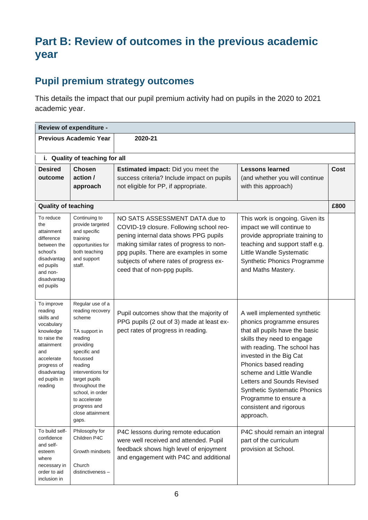# **Part B: Review of outcomes in the previous academic year**

## **Pupil premium strategy outcomes**

This details the impact that our pupil premium activity had on pupils in the 2020 to 2021 academic year.

| <b>Review of expenditure -</b>                                                                                                                                             |                                                                                                                                                                                                                                                                          |                                                                                                                                                                                                                                                                                     |                                                                                                                                                                                                                                                                                                                                                                                 |             |
|----------------------------------------------------------------------------------------------------------------------------------------------------------------------------|--------------------------------------------------------------------------------------------------------------------------------------------------------------------------------------------------------------------------------------------------------------------------|-------------------------------------------------------------------------------------------------------------------------------------------------------------------------------------------------------------------------------------------------------------------------------------|---------------------------------------------------------------------------------------------------------------------------------------------------------------------------------------------------------------------------------------------------------------------------------------------------------------------------------------------------------------------------------|-------------|
|                                                                                                                                                                            | <b>Previous Academic Year</b>                                                                                                                                                                                                                                            | 2020-21                                                                                                                                                                                                                                                                             |                                                                                                                                                                                                                                                                                                                                                                                 |             |
|                                                                                                                                                                            | i. Quality of teaching for all                                                                                                                                                                                                                                           |                                                                                                                                                                                                                                                                                     |                                                                                                                                                                                                                                                                                                                                                                                 |             |
| <b>Desired</b><br>outcome                                                                                                                                                  | <b>Chosen</b><br>action /<br>approach                                                                                                                                                                                                                                    | <b>Estimated impact:</b> Did you meet the<br>success criteria? Include impact on pupils<br>not eligible for PP, if appropriate.                                                                                                                                                     | <b>Lessons learned</b><br>(and whether you will continue<br>with this approach)                                                                                                                                                                                                                                                                                                 | <b>Cost</b> |
| <b>Quality of teaching</b>                                                                                                                                                 |                                                                                                                                                                                                                                                                          |                                                                                                                                                                                                                                                                                     |                                                                                                                                                                                                                                                                                                                                                                                 | £800        |
| To reduce<br>the<br>attainment<br>difference<br>between the<br>school's<br>disadvantag<br>ed pupils<br>and non-<br>disadvantag<br>ed pupils                                | Continuing to<br>provide targeted<br>and specific<br>training<br>opportunities for<br>both teaching<br>and support<br>staff.                                                                                                                                             | NO SATS ASSESSMENT DATA due to<br>COVID-19 closure. Following school reo-<br>pening internal data shows PPG pupils<br>making similar rates of progress to non-<br>ppg pupils. There are examples in some<br>subjects of where rates of progress ex-<br>ceed that of non-ppg pupils. | This work is ongoing. Given its<br>impact we will continue to<br>provide appropriate training to<br>teaching and support staff e.g.<br>Little Wandle Systematic<br>Synthetic Phonics Programme<br>and Maths Mastery.                                                                                                                                                            |             |
| To improve<br>reading<br>skills and<br>vocabulary<br>knowledge<br>to raise the<br>attainment<br>and<br>accelerate<br>progress of<br>disadvantag<br>ed pupils in<br>reading | Regular use of a<br>reading recovery<br>scheme<br>TA support in<br>reading<br>providing<br>specific and<br>focussed<br>reading<br>interventions for<br>target pupils<br>throughout the<br>school, in order<br>to accelerate<br>progress and<br>close attainment<br>gaps. | Pupil outcomes show that the majority of<br>PPG pupils (2 out of 3) made at least ex-<br>pect rates of progress in reading.                                                                                                                                                         | A well implemented synthetic<br>phonics programme ensures<br>that all pupils have the basic<br>skills they need to engage<br>with reading. The school has<br>invested in the Big Cat<br>Phonics based reading<br>scheme and Little Wandle<br>Letters and Sounds Revised<br><b>Synthetic Systematic Phonics</b><br>Programme to ensure a<br>consistent and rigorous<br>approach. |             |
| To build self-<br>confidence<br>and self-<br>esteem<br>where<br>necessary in<br>order to aid<br>inclusion in                                                               | Philosophy for<br>Children P4C<br>Growth mindsets<br>Church<br>distinctiveness-                                                                                                                                                                                          | P4C lessons during remote education<br>were well received and attended. Pupil<br>feedback shows high level of enjoyment<br>and engagement with P4C and additional                                                                                                                   | P4C should remain an integral<br>part of the curriculum<br>provision at School.                                                                                                                                                                                                                                                                                                 |             |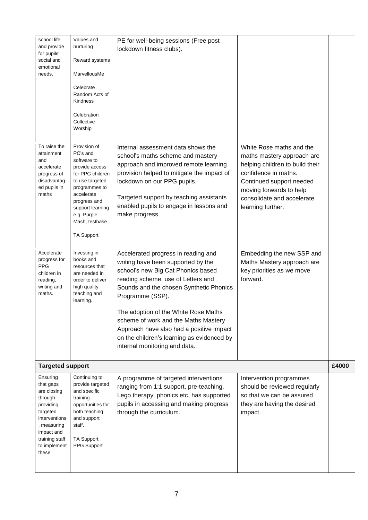| school life                                                                                                                                                       | Values and                                                                                                                                                                                                                | PE for well-being sessions (Free post                                                                                                                                                                                                                                                                                                                                                                                           |                                                                                                                                                                                                                             |       |
|-------------------------------------------------------------------------------------------------------------------------------------------------------------------|---------------------------------------------------------------------------------------------------------------------------------------------------------------------------------------------------------------------------|---------------------------------------------------------------------------------------------------------------------------------------------------------------------------------------------------------------------------------------------------------------------------------------------------------------------------------------------------------------------------------------------------------------------------------|-----------------------------------------------------------------------------------------------------------------------------------------------------------------------------------------------------------------------------|-------|
| and provide<br>for pupils'                                                                                                                                        | nurturing                                                                                                                                                                                                                 | lockdown fitness clubs).                                                                                                                                                                                                                                                                                                                                                                                                        |                                                                                                                                                                                                                             |       |
| social and<br>emotional                                                                                                                                           | Reward systems                                                                                                                                                                                                            |                                                                                                                                                                                                                                                                                                                                                                                                                                 |                                                                                                                                                                                                                             |       |
| needs.                                                                                                                                                            | MarvellousMe                                                                                                                                                                                                              |                                                                                                                                                                                                                                                                                                                                                                                                                                 |                                                                                                                                                                                                                             |       |
|                                                                                                                                                                   | Celebrate<br>Random Acts of<br><b>Kindness</b>                                                                                                                                                                            |                                                                                                                                                                                                                                                                                                                                                                                                                                 |                                                                                                                                                                                                                             |       |
|                                                                                                                                                                   | Celebration<br>Collective<br>Worship                                                                                                                                                                                      |                                                                                                                                                                                                                                                                                                                                                                                                                                 |                                                                                                                                                                                                                             |       |
| To raise the<br>attainment<br>and<br>accelerate<br>progress of<br>disadvantag<br>ed pupils in<br>maths                                                            | Provision of<br>PC's and<br>software to<br>provide access<br>for PPG children<br>to use targeted<br>programmes to<br>accelerate<br>progress and<br>support learning<br>e.g. Purple<br>Mash, testbase<br><b>TA Support</b> | Internal assessment data shows the<br>school's maths scheme and mastery<br>approach and improved remote learning<br>provision helped to mitigate the impact of<br>lockdown on our PPG pupils.<br>Targeted support by teaching assistants<br>enabled pupils to engage in lessons and<br>make progress.                                                                                                                           | White Rose maths and the<br>maths mastery approach are<br>helping children to build their<br>confidence in maths.<br>Continued support needed<br>moving forwards to help<br>consolidate and accelerate<br>learning further. |       |
| Accelerate<br>progress for<br><b>PPG</b><br>children in<br>reading,<br>writing and<br>maths.                                                                      | Investing in<br>books and<br>resources that<br>are needed in<br>order to deliver<br>high quality<br>teaching and<br>learning.                                                                                             | Accelerated progress in reading and<br>writing have been supported by the<br>school's new Big Cat Phonics based<br>reading scheme, use of Letters and<br>Sounds and the chosen Synthetic Phonics<br>Programme (SSP).<br>The adoption of the White Rose Maths<br>scheme of work and the Maths Mastery<br>Approach have also had a positive impact<br>on the children's learning as evidenced by<br>internal monitoring and data. | Embedding the new SSP and<br>Maths Mastery approach are<br>key priorities as we move<br>forward.                                                                                                                            |       |
| <b>Targeted support</b>                                                                                                                                           |                                                                                                                                                                                                                           |                                                                                                                                                                                                                                                                                                                                                                                                                                 |                                                                                                                                                                                                                             | £4000 |
| Ensuring<br>that gaps<br>are closing<br>through<br>providing<br>targeted<br>interventions<br>, measuring<br>impact and<br>training staff<br>to implement<br>these | Continuing to<br>provide targeted<br>and specific<br>training<br>opportunities for<br>both teaching<br>and support<br>staff.<br><b>TA Support</b><br>PPG Support                                                          | A programme of targeted interventions<br>ranging from 1:1 support, pre-teaching,<br>Lego therapy, phonics etc. has supported<br>pupils in accessing and making progress<br>through the curriculum.                                                                                                                                                                                                                              | Intervention programmes<br>should be reviewed regularly<br>so that we can be assured<br>they are having the desired<br>impact.                                                                                              |       |
|                                                                                                                                                                   |                                                                                                                                                                                                                           |                                                                                                                                                                                                                                                                                                                                                                                                                                 |                                                                                                                                                                                                                             |       |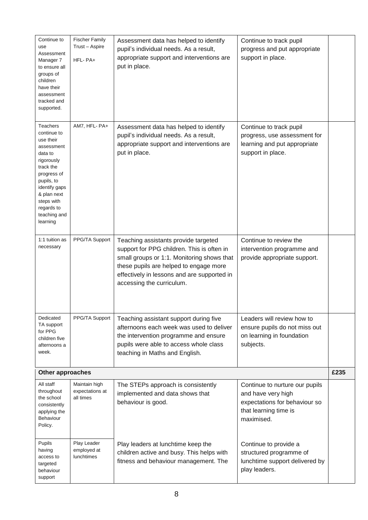| Continue to<br>use<br>Assessment<br>Manager 7<br>to ensure all<br>groups of<br>children<br>have their<br>assessment<br>tracked and<br>supported.                                                              | <b>Fischer Family</b><br>Trust - Aspire<br>HFL-PA+ | Assessment data has helped to identify<br>pupil's individual needs. As a result,<br>appropriate support and interventions are<br>put in place.                                                                                                         | Continue to track pupil<br>progress and put appropriate<br>support in place.                                                 |      |
|---------------------------------------------------------------------------------------------------------------------------------------------------------------------------------------------------------------|----------------------------------------------------|--------------------------------------------------------------------------------------------------------------------------------------------------------------------------------------------------------------------------------------------------------|------------------------------------------------------------------------------------------------------------------------------|------|
| Teachers<br>continue to<br>use their<br>assessment<br>data to<br>rigorously<br>track the<br>progress of<br>pupils, to<br>identify gaps<br>& plan next<br>steps with<br>regards to<br>teaching and<br>learning | AM7, HFL- PA+                                      | Assessment data has helped to identify<br>pupil's individual needs. As a result,<br>appropriate support and interventions are<br>put in place.                                                                                                         | Continue to track pupil<br>progress, use assessment for<br>learning and put appropriate<br>support in place.                 |      |
| 1:1 tuition as<br>necessary                                                                                                                                                                                   | PPG/TA Support                                     | Teaching assistants provide targeted<br>support for PPG children. This is often in<br>small groups or 1:1. Monitoring shows that<br>these pupils are helped to engage more<br>effectively in lessons and are supported in<br>accessing the curriculum. | Continue to review the<br>intervention programme and<br>provide appropriate support.                                         |      |
| Dedicated<br>TA support<br>for PPG<br>children five<br>afternoons a<br>week.                                                                                                                                  | PPG/TA Support                                     | Teaching assistant support during five<br>afternoons each week was used to deliver<br>the intervention programme and ensure<br>pupils were able to access whole class<br>teaching in Maths and English.                                                | Leaders will review how to<br>ensure pupils do not miss out<br>on learning in foundation<br>subjects.                        |      |
| Other approaches                                                                                                                                                                                              |                                                    |                                                                                                                                                                                                                                                        |                                                                                                                              | £235 |
| All staff<br>throughout<br>the school<br>consistently<br>applying the<br>Behaviour<br>Policy.                                                                                                                 | Maintain high<br>expectations at<br>all times      | The STEPs approach is consistently<br>implemented and data shows that<br>behaviour is good.                                                                                                                                                            | Continue to nurture our pupils<br>and have very high<br>expectations for behaviour so<br>that learning time is<br>maximised. |      |
| Pupils<br>having<br>access to<br>targeted<br>behaviour<br>support                                                                                                                                             | Play Leader<br>employed at<br><b>lunchtimes</b>    | Play leaders at lunchtime keep the<br>children active and busy. This helps with<br>fitness and behaviour management. The                                                                                                                               | Continue to provide a<br>structured programme of<br>lunchtime support delivered by<br>play leaders.                          |      |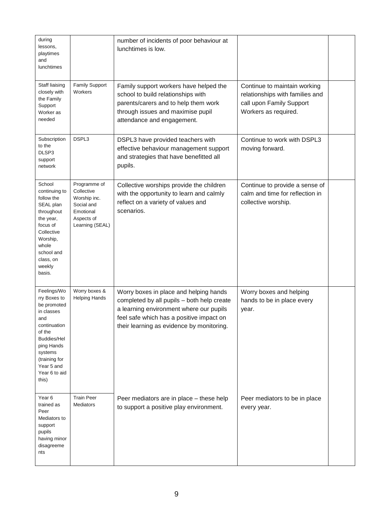| during<br>lessons,<br>playtimes<br>and<br>lunchtimes                                                                                                                                              |                                                                                                        | number of incidents of poor behaviour at<br>lunchtimes is low.                                                                                                                                                           |                                                                                                                     |  |
|---------------------------------------------------------------------------------------------------------------------------------------------------------------------------------------------------|--------------------------------------------------------------------------------------------------------|--------------------------------------------------------------------------------------------------------------------------------------------------------------------------------------------------------------------------|---------------------------------------------------------------------------------------------------------------------|--|
| Staff liaising<br>closely with<br>the Family<br>Support<br>Worker as<br>needed                                                                                                                    | Family Support<br>Workers                                                                              | Family support workers have helped the<br>school to build relationships with<br>parents/carers and to help them work<br>through issues and maximise pupil<br>attendance and engagement.                                  | Continue to maintain working<br>relationships with families and<br>call upon Family Support<br>Workers as required. |  |
| Subscription<br>to the<br>DLSP3<br>support<br>network                                                                                                                                             | DSPL3                                                                                                  | DSPL3 have provided teachers with<br>effective behaviour management support<br>and strategies that have benefitted all<br>pupils.                                                                                        | Continue to work with DSPL3<br>moving forward.                                                                      |  |
| School<br>continuing to<br>follow the<br>SEAL plan<br>throughout<br>the year,<br>focus of<br>Collective<br>Worship,<br>whole<br>school and<br>class, on<br>weekly<br>basis.                       | Programme of<br>Collective<br>Worship inc.<br>Social and<br>Emotional<br>Aspects of<br>Learning (SEAL) | Collective worships provide the children<br>with the opportunity to learn and calmly<br>reflect on a variety of values and<br>scenarios.                                                                                 | Continue to provide a sense of<br>calm and time for reflection in<br>collective worship.                            |  |
| Feelings/Wo<br>rry Boxes to<br>be promoted<br>in classes<br>and<br>continuation<br>of the<br><b>Buddies/Hel</b><br>ping Hands<br>systems<br>(training for<br>Year 5 and<br>Year 6 to aid<br>this) | Worry boxes &<br><b>Helping Hands</b>                                                                  | Worry boxes in place and helping hands<br>completed by all pupils - both help create<br>a learning environment where our pupils<br>feel safe which has a positive impact on<br>their learning as evidence by monitoring. | Worry boxes and helping<br>hands to be in place every<br>year.                                                      |  |
| Year 6<br>trained as<br>Peer<br>Mediators to<br>support<br>pupils<br>having minor<br>disagreeme<br>nts                                                                                            | <b>Train Peer</b><br>Mediators                                                                         | Peer mediators are in place - these help<br>to support a positive play environment.                                                                                                                                      | Peer mediators to be in place<br>every year.                                                                        |  |